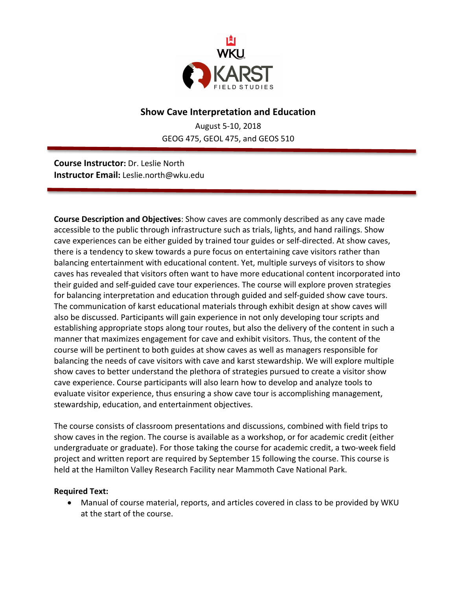

## **Show Cave Interpretation and Education**

August 5-10, 2018 GEOG 475, GEOL 475, and GEOS 510

**Course Instructor:** Dr. Leslie North **Instructor Email:** Leslie.north@wku.edu

**Course Description and Objectives**: Show caves are commonly described as any cave made accessible to the public through infrastructure such as trials, lights, and hand railings. Show cave experiences can be either guided by trained tour guides or self-directed. At show caves, there is a tendency to skew towards a pure focus on entertaining cave visitors rather than balancing entertainment with educational content. Yet, multiple surveys of visitors to show caves has revealed that visitors often want to have more educational content incorporated into their guided and self-guided cave tour experiences. The course will explore proven strategies for balancing interpretation and education through guided and self-guided show cave tours. The communication of karst educational materials through exhibit design at show caves will also be discussed. Participants will gain experience in not only developing tour scripts and establishing appropriate stops along tour routes, but also the delivery of the content in such a manner that maximizes engagement for cave and exhibit visitors. Thus, the content of the course will be pertinent to both guides at show caves as well as managers responsible for balancing the needs of cave visitors with cave and karst stewardship. We will explore multiple show caves to better understand the plethora of strategies pursued to create a visitor show cave experience. Course participants will also learn how to develop and analyze tools to evaluate visitor experience, thus ensuring a show cave tour is accomplishing management, stewardship, education, and entertainment objectives.

The course consists of classroom presentations and discussions, combined with field trips to show caves in the region. The course is available as a workshop, or for academic credit (either undergraduate or graduate). For those taking the course for academic credit, a two-week field project and written report are required by September 15 following the course. This course is held at the Hamilton Valley Research Facility near Mammoth Cave National Park.

## **Required Text:**

• Manual of course material, reports, and articles covered in class to be provided by WKU at the start of the course.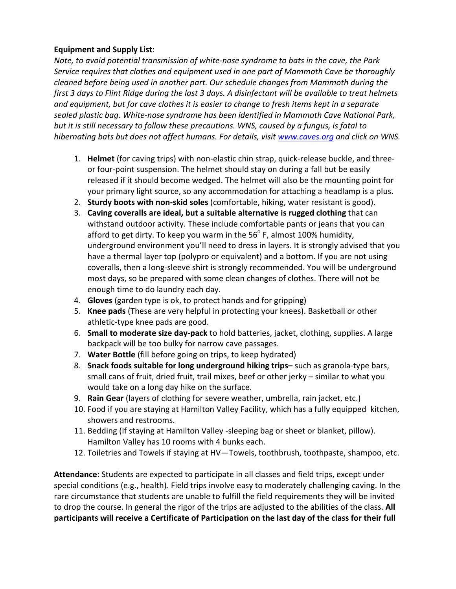## **Equipment and Supply List:**

*Note, to avoid potential transmission of white-nose syndrome to bats in the cave, the Park Service requires that clothes and equipment used in one part of Mammoth Cave be thoroughly cleaned before being used in another part. Our schedule changes from Mammoth during the first* 3 days to Flint Ridge during the last 3 days. A disinfectant will be available to treat helmets *and equipment, but for cave clothes it is easier to change to fresh items kept in a separate* sealed plastic bag. White-nose syndrome has been identified in Mammoth Cave National Park, *but* it is still necessary to follow these precautions. WNS, caused by a fungus, is fatal to *hibernating bats but does not affect humans. For details, visit www.caves.org and click on WNS.* 

- 1. **Helmet** (for caving trips) with non-elastic chin strap, quick-release buckle, and threeor four-point suspension. The helmet should stay on during a fall but be easily released if it should become wedged. The helmet will also be the mounting point for your primary light source, so any accommodation for attaching a headlamp is a plus.
- 2. **Sturdy boots with non-skid soles** (comfortable, hiking, water resistant is good).
- 3. Caving coveralls are ideal, but a suitable alternative is rugged clothing that can withstand outdoor activity. These include comfortable pants or jeans that you can afford to get dirty. To keep you warm in the  $56^{\circ}$  F, almost 100% humidity, underground environment you'll need to dress in layers. It is strongly advised that you have a thermal layer top (polypro or equivalent) and a bottom. If you are not using coveralls, then a long-sleeve shirt is strongly recommended. You will be underground most days, so be prepared with some clean changes of clothes. There will not be enough time to do laundry each day.
- 4. **Gloves** (garden type is ok, to protect hands and for gripping)
- 5. Knee pads (These are very helpful in protecting your knees). Basketball or other athletic-type knee pads are good.
- 6. **Small to moderate size day-pack** to hold batteries, jacket, clothing, supplies. A large backpack will be too bulky for narrow cave passages.
- 7. **Water Bottle** (fill before going on trips, to keep hydrated)
- 8. Snack foods suitable for long underground hiking trips- such as granola-type bars, small cans of fruit, dried fruit, trail mixes, beef or other jerky – similar to what you would take on a long day hike on the surface.
- 9. **Rain Gear** (layers of clothing for severe weather, umbrella, rain jacket, etc.)
- 10. Food if you are staying at Hamilton Valley Facility, which has a fully equipped kitchen, showers and restrooms.
- 11. Bedding (If staying at Hamilton Valley -sleeping bag or sheet or blanket, pillow). Hamilton Valley has 10 rooms with 4 bunks each.
- 12. Toiletries and Towels if staying at HV—Towels, toothbrush, toothpaste, shampoo, etc.

Attendance: Students are expected to participate in all classes and field trips, except under special conditions (e.g., health). Field trips involve easy to moderately challenging caving. In the rare circumstance that students are unable to fulfill the field requirements they will be invited to drop the course. In general the rigor of the trips are adjusted to the abilities of the class. **All participants will receive a Certificate of Participation on the last day of the class for their full**